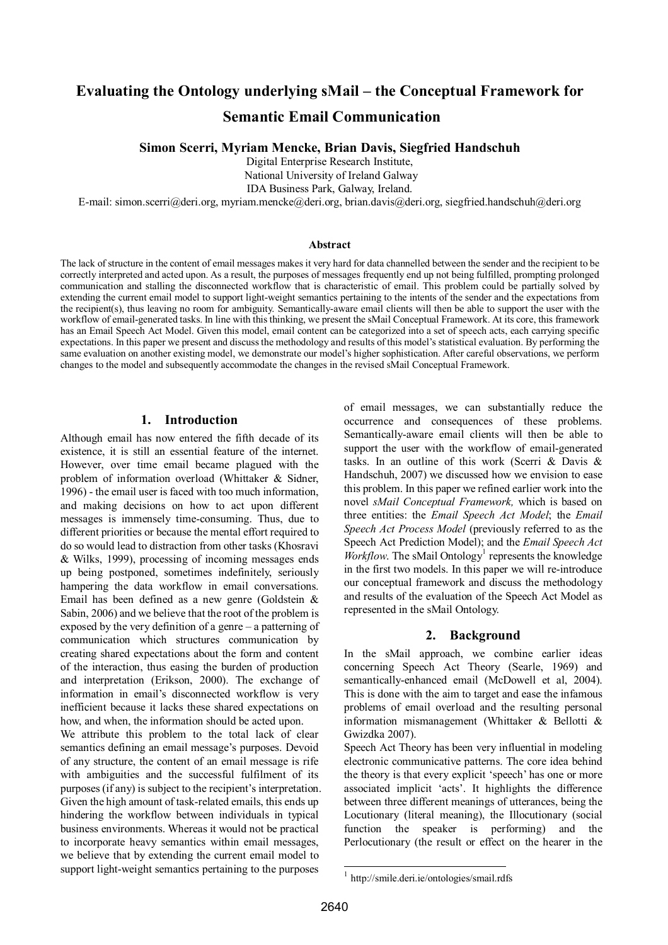# **Evaluating the Ontology underlying sMail – the Conceptual Framework for Semantic Email Communication**

#### **Simon Scerri, Myriam Mencke, Brian Davis, Siegfried Handschuh**

Digital Enterprise Research Institute,

National University of Ireland Galway

IDA Business Park, Galway, Ireland.

E-mail: simon.scerri@deri.org, myriam.mencke@deri.org, brian.davis@deri.org, siegfried.handschuh@deri.org

#### **Abstract**

The lack of structure in the content of email messages makes it very hard for data channelled between the sender and the recipient to be correctly interpreted and acted upon. As a result, the purposes of messages frequently end up not being fulfilled, prompting prolonged communication and stalling the disconnected workflow that is characteristic of email. This problem could be partially solved by extending the current email model to support light-weight semantics pertaining to the intents of the sender and the expectations from the recipient(s), thus leaving no room for ambiguity. Semantically-aware email clients will then be able to support the user with the workflow of email-generated tasks. In line with this thinking, we present the sMail Conceptual Framework. At its core, this framework has an Email Speech Act Model. Given this model, email content can be categorized into a set of speech acts, each carrying specific expectations. In this paper we present and discuss the methodology and results of this model's statistical evaluation. By performing the same evaluation on another existing model, we demonstrate our model's higher sophistication. After careful observations, we perform changes to the model and subsequently accommodate the changes in the revised sMail Conceptual Framework.

#### **1. Introduction**

Although email has now entered the fifth decade of its existence, it is still an essential feature of the internet. However, over time email became plagued with the problem of information overload (Whittaker & Sidner, 1996) - the email user is faced with too much information, and making decisions on how to act upon different messages is immensely time-consuming. Thus, due to different priorities or because the mental effort required to do so would lead to distraction from other tasks (Khosravi & Wilks, 1999), processing of incoming messages ends up being postponed, sometimes indefinitely, seriously hampering the data workflow in email conversations. Email has been defined as a new genre (Goldstein & Sabin, 2006) and we believe that the root of the problem is exposed by the very definition of a genre  $-$  a patterning of communication which structures communication by creating shared expectations about the form and content of the interaction, thus easing the burden of production and interpretation (Erikson, 2000). The exchange of information in email's disconnected workflow is very inefficient because it lacks these shared expectations on how, and when, the information should be acted upon.

We attribute this problem to the total lack of clear semantics defining an email message's purposes. Devoid of any structure, the content of an email message is rife with ambiguities and the successful fulfilment of its purposes (if any) is subject to the recipient's interpretation. Given the high amount of task-related emails, this ends up hindering the workflow between individuals in typical business environments. Whereas it would not be practical to incorporate heavy semantics within email messages, we believe that by extending the current email model to support light-weight semantics pertaining to the purposes

of email messages, we can substantially reduce the occurrence and consequences of these problems. Semantically-aware email clients will then be able to support the user with the workflow of email-generated tasks. In an outline of this work (Scerri & Davis & Handschuh, 2007) we discussed how we envision to ease this problem. In this paper we refined earlier work into the novel *sMail Conceptual Framework,* which is based on three entities: the *Email Speech Act Model*; the *Email Speech Act Process Model* (previously referred to as the Speech Act Prediction Model); and the *Email Speech Act Workflow*. The sMail Ontology<sup>1</sup> represents the knowledge in the first two models. In this paper we will re-introduce our conceptual framework and discuss the methodology and results of the evaluation of the Speech Act Model as represented in the sMail Ontology.

### **2. Background**

In the sMail approach, we combine earlier ideas concerning Speech Act Theory (Searle, 1969) and semantically-enhanced email (McDowell et al, 2004). This is done with the aim to target and ease the infamous problems of email overload and the resulting personal information mismanagement (Whittaker & Bellotti & Gwizdka 2007).

Speech Act Theory has been very influential in modeling electronic communicative patterns. The core idea behind the theory is that every explicit 'speech' has one or more associated implicit 'acts'. It highlights the difference between three different meanings of utterances, being the Locutionary (literal meaning), the Illocutionary (social function the speaker is performing) and the Perlocutionary (the result or effect on the hearer in the

l

<sup>1</sup> http://smile.deri.ie/ontologies/smail.rdfs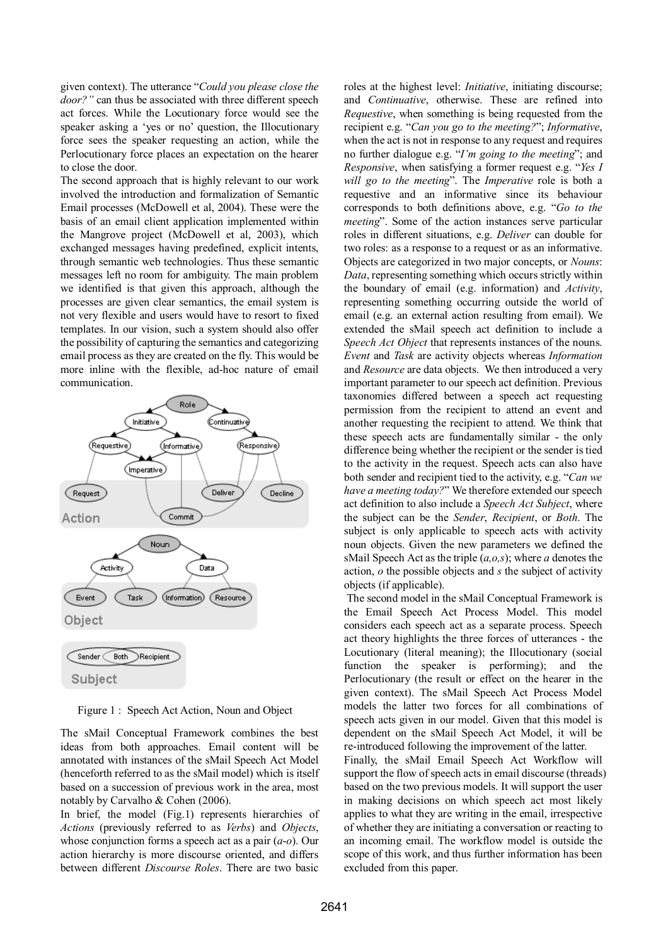given context). The utterance "Could you please close the door?" can thus be associated with three different speech act forces. While the Locutionary force would see the speaker asking a 'yes or no' question, the Illocutionary force sees the speaker requesting an action, while the Perlocutionary force places an expectation on the hearer to close the door.

The second approach that is highly relevant to our work involved the introduction and formalization of Semantic Email processes (McDowell et al, 2004). These were the basis of an email client application implemented within the Mangrove project (McDowell et al, 2003), which exchanged messages having predefined, explicit intents, through semantic web technologies. Thus these semantic messages left no room for ambiguity. The main problem we identified is that given this approach, although the processes are given clear semantics, the email system is not very flexible and users would have to resort to fixed templates. In our vision, such a system should also offer the possibility of capturing the semantics and categorizing email process as they are created on the fly. This would be more inline with the flexible, ad-hoc nature of email communication.



Figure 1 : Speech Act Action, Noun and Object

The sMail Conceptual Framework combines the best ideas from both approaches. Email content will be annotated with instances of the sMail Speech Act Model (henceforth referred to as the sMail model) which is itself based on a succession of previous work in the area, most notably by Carvalho & Cohen (2006).

In brief, the model (Fig.1) represents hierarchies of *Actions* (previously referred to as *Verbs*) and *Objects*, whose conjunction forms a speech act as a pair (*a*-*o*). Our action hierarchy is more discourse oriented, and differs between different *Discourse Roles*. There are two basic

roles at the highest level: *Initiative*, initiating discourse; and *Continuative*, otherwise. These are refined into *Requestive*, when something is being requested from the recipient e.g. "Can you go to the meeting?"; Informative, when the act is not in response to any request and requires no further dialogue e.g. *'I'm going to the meeting*''; and *Responsive*, when satisfying a former request e.g. *<i>Pes I will go to the meeting*î. The *Imperative* role is both a requestive and an informative since its behaviour corresponds to both definitions above, e.g. *<sup><i>Go to the*</sup> *meeting*". Some of the action instances serve particular roles in different situations, e.g. *Deliver* can double for two roles: as a response to a request or as an informative. Objects are categorized in two major concepts, or *Nouns*: *Data*, representing something which occurs strictly within the boundary of email (e.g. information) and *Activity*, representing something occurring outside the world of email (e.g. an external action resulting from email). We extended the sMail speech act definition to include a *Speech Act Object* that represents instances of the nouns. *Event* and *Task* are activity objects whereas *Information* and *Resource* are data objects. We then introduced a very important parameter to our speech act definition. Previous taxonomies differed between a speech act requesting permission from the recipient to attend an event and another requesting the recipient to attend. We think that these speech acts are fundamentally similar - the only difference being whether the recipient or the sender is tied to the activity in the request. Speech acts can also have both sender and recipient tied to the activity, e.g. *<sup><i>Can we*</sup> *have a meeting today?*î We therefore extended our speech act definition to also include a *Speech Act Subject*, where the subject can be the *Sender*, *Recipient*, or *Both*. The subject is only applicable to speech acts with activity noun objects. Given the new parameters we defined the sMail Speech Act as the triple (*a,o,s*); where *a* denotes the action, *o* the possible objects and *s* the subject of activity objects (if applicable).

 The second model in the sMail Conceptual Framework is the Email Speech Act Process Model. This model considers each speech act as a separate process. Speech act theory highlights the three forces of utterances - the Locutionary (literal meaning); the Illocutionary (social function the speaker is performing); and the Perlocutionary (the result or effect on the hearer in the given context). The sMail Speech Act Process Model models the latter two forces for all combinations of speech acts given in our model. Given that this model is dependent on the sMail Speech Act Model, it will be re-introduced following the improvement of the latter. Finally, the sMail Email Speech Act Workflow will

support the flow of speech acts in email discourse (threads) based on the two previous models. It will support the user in making decisions on which speech act most likely applies to what they are writing in the email, irrespective of whether they are initiating a conversation or reacting to an incoming email. The workflow model is outside the scope of this work, and thus further information has been excluded from this paper.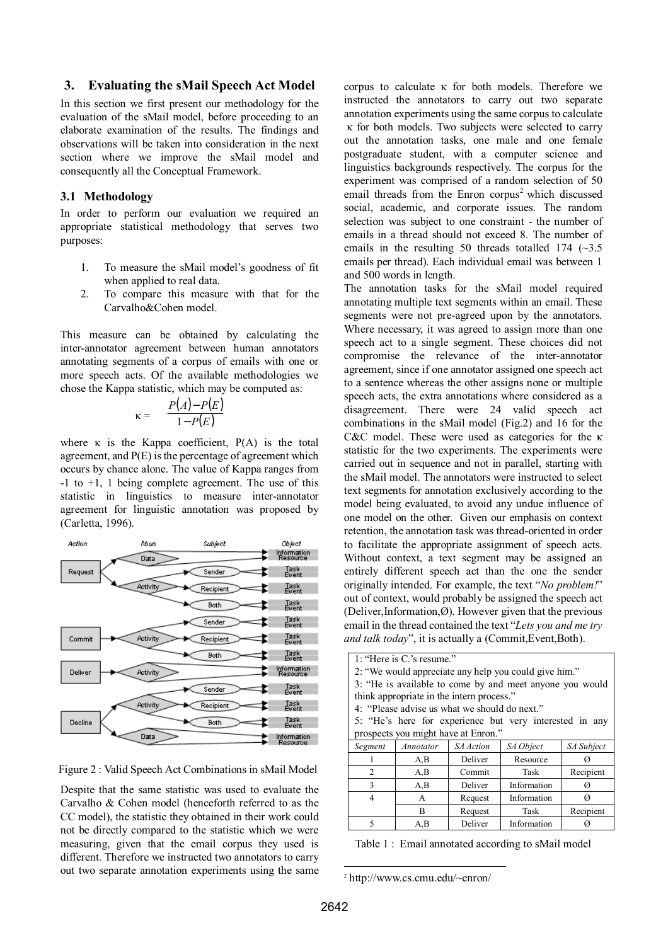#### **3. Evaluating the sMail Speech Act Model**

In this section we first present our methodology for the evaluation of the sMail model, before proceeding to an elaborate examination of the results. The findings and observations will be taken into consideration in the next section where we improve the sMail model and consequently all the Conceptual Framework.

#### **3.1 Methodology**

In order to perform our evaluation we required an appropriate statistical methodology that serves two purposes:

- 1. To measure the sMail model's goodness of fit when applied to real data.
- 2. To compare this measure with that for the Carvalho&Cohen model.

This measure can be obtained by calculating the inter-annotator agreement between human annotators annotating segments of a corpus of emails with one or more speech acts. Of the available methodologies we chose the Kappa statistic, which may be computed as:

$$
\kappa = \frac{P(A) - P(E)}{1 - P(E)}
$$

where  $\kappa$  is the Kappa coefficient,  $P(A)$  is the total agreement, and P(E) is the percentage of agreement which occurs by chance alone. The value of Kappa ranges from  $-1$  to  $+1$ , 1 being complete agreement. The use of this statistic in linguistics to measure inter-annotator agreement for linguistic annotation was proposed by (Carletta, 1996).



Figure 2 : Valid Speech Act Combinations in sMail Model

Despite that the same statistic was used to evaluate the Carvalho & Cohen model (henceforth referred to as the CC model), the statistic they obtained in their work could not be directly compared to the statistic which we were measuring, given that the email corpus they used is different. Therefore we instructed two annotators to carry out two separate annotation experiments using the same corpus to calculate  $\kappa$  for both models. Therefore we instructed the annotators to carry out two separate annotation experiments using the same corpus to calculate κ for both models. Two subjects were selected to carry out the annotation tasks, one male and one female postgraduate student, with a computer science and linguistics backgrounds respectively. The corpus for the experiment was comprised of a random selection of 50 email threads from the Enron corpus<sup>2</sup> which discussed social, academic, and corporate issues. The random selection was subject to one constraint - the number of emails in a thread should not exceed 8. The number of emails in the resulting 50 threads totalled 174  $(\sim]3.5$ emails per thread). Each individual email was between 1 and 500 words in length.

The annotation tasks for the sMail model required annotating multiple text segments within an email. These segments were not pre-agreed upon by the annotators. Where necessary, it was agreed to assign more than one speech act to a single segment. These choices did not compromise the relevance of the inter-annotator agreement, since if one annotator assigned one speech act to a sentence whereas the other assigns none or multiple speech acts, the extra annotations where considered as a disagreement. There were 24 valid speech act combinations in the sMail model (Fig.2) and 16 for the C&C model. These were used as categories for the κ statistic for the two experiments. The experiments were carried out in sequence and not in parallel, starting with the sMail model. The annotators were instructed to select text segments for annotation exclusively according to the model being evaluated, to avoid any undue influence of one model on the other. Given our emphasis on context retention, the annotation task was thread-oriented in order to facilitate the appropriate assignment of speech acts. Without context, a text segment may be assigned an entirely different speech act than the one the sender originally intended. For example, the text *'No problem!'* out of context, would probably be assigned the speech act (Deliver, Information,  $\varnothing$ ). However given that the previous email in the thread contained the text *'Lets you and me try and talk today*", it is actually a (Commit, Event, Both).

| 1: "Here is C's resume."                                 |           |           |             |            |  |  |  |  |  |
|----------------------------------------------------------|-----------|-----------|-------------|------------|--|--|--|--|--|
| 2: "We would appreciate any help you could give him."    |           |           |             |            |  |  |  |  |  |
| 3: "He is available to come by and meet anyone you would |           |           |             |            |  |  |  |  |  |
| think appropriate in the intern process."                |           |           |             |            |  |  |  |  |  |
| 4: "Please advise us what we should do next."            |           |           |             |            |  |  |  |  |  |
|                                                          |           |           |             |            |  |  |  |  |  |
| 5: "He's here for experience but very interested in any  |           |           |             |            |  |  |  |  |  |
| prospects you might have at Enron."                      |           |           |             |            |  |  |  |  |  |
| Segment                                                  | Annotator | SA Action | SA Object   | SA Subject |  |  |  |  |  |
| 1                                                        | A, B      | Deliver   | Resource    | Ø          |  |  |  |  |  |
| $\mathfrak{D}$                                           | A,B       | Commit    | Task        | Recipient  |  |  |  |  |  |
| $\mathbf{3}$                                             | A, B      | Deliver   | Information | Ø          |  |  |  |  |  |
| 4                                                        | A         | Request   | Information | Ø          |  |  |  |  |  |
|                                                          | R         | Request   | Task        | Recipient  |  |  |  |  |  |
| $\overline{\phantom{0}}$                                 | A.B       | Deliver   | Information |            |  |  |  |  |  |

Table 1 : Email annotated according to sMail model

l

<sup>2</sup> http://www.cs.cmu.edu/~enron/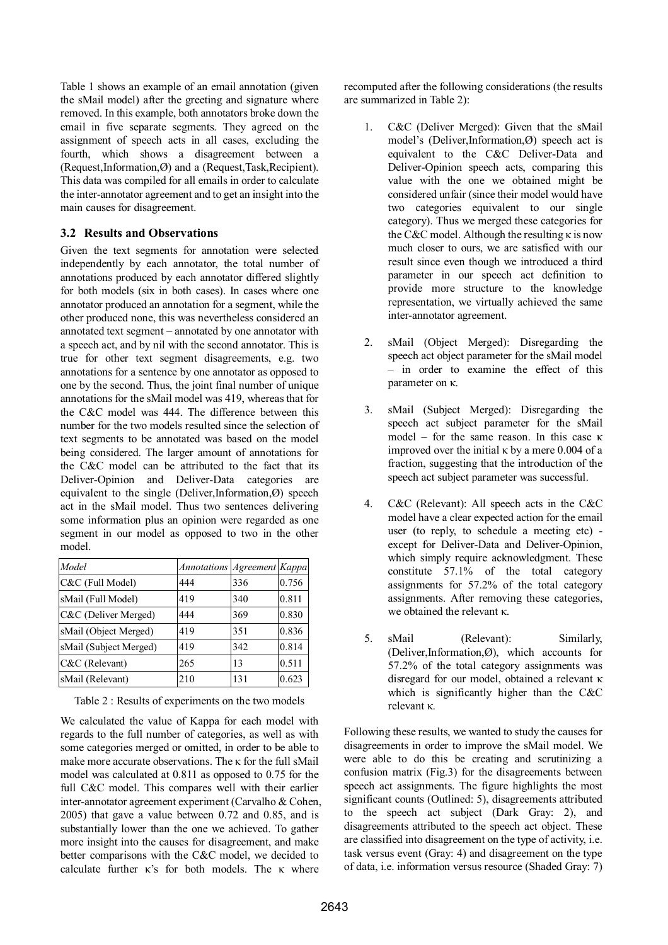Table 1 shows an example of an email annotation (given the sMail model) after the greeting and signature where removed. In this example, both annotators broke down the email in five separate segments. They agreed on the assignment of speech acts in all cases, excluding the fourth, which shows a disagreement between a (Request,Information,Ø) and a (Request,Task,Recipient). This data was compiled for all emails in order to calculate the inter-annotator agreement and to get an insight into the main causes for disagreement.

## **3.2 Results and Observations**

Given the text segments for annotation were selected independently by each annotator, the total number of annotations produced by each annotator differed slightly for both models (six in both cases). In cases where one annotator produced an annotation for a segment, while the other produced none, this was nevertheless considered an annotated text segment  $-$  annotated by one annotator with a speech act, and by nil with the second annotator. This is true for other text segment disagreements, e.g. two annotations for a sentence by one annotator as opposed to one by the second. Thus, the joint final number of unique annotations for the sMail model was 419, whereas that for the C&C model was 444. The difference between this number for the two models resulted since the selection of text segments to be annotated was based on the model being considered. The larger amount of annotations for the C&C model can be attributed to the fact that its Deliver-Opinion and Deliver-Data categories are equivalent to the single (Deliver,Information, $\emptyset$ ) speech act in the sMail model. Thus two sentences delivering some information plus an opinion were regarded as one segment in our model as opposed to two in the other model.

| Model                  | Annotations Agreement Kappa |     |       |
|------------------------|-----------------------------|-----|-------|
| C&C (Full Model)       | 444                         | 336 | 0.756 |
| sMail (Full Model)     | 419                         | 340 | 0.811 |
| C&C (Deliver Merged)   | 444                         | 369 | 0.830 |
| sMail (Object Merged)  | 419                         | 351 | 0.836 |
| sMail (Subject Merged) | 419                         | 342 | 0.814 |
| C&C (Relevant)         | 265                         | 13  | 0.511 |
| sMail (Relevant)       | 210                         | 131 | 0.623 |

Table 2 : Results of experiments on the two models

We calculated the value of Kappa for each model with regards to the full number of categories, as well as with some categories merged or omitted, in order to be able to make more accurate observations. The κ for the full sMail model was calculated at 0.811 as opposed to 0.75 for the full C&C model. This compares well with their earlier inter-annotator agreement experiment (Carvalho & Cohen, 2005) that gave a value between 0.72 and 0.85, and is substantially lower than the one we achieved. To gather more insight into the causes for disagreement, and make better comparisons with the C&C model, we decided to calculate further  $\kappa$ 's for both models. The  $\kappa$  where

recomputed after the following considerations (the results are summarized in Table 2):

- 1. C&C (Deliver Merged): Given that the sMail model's (Deliver,Information, $\varnothing$ ) speech act is equivalent to the C&C Deliver-Data and Deliver-Opinion speech acts, comparing this value with the one we obtained might be considered unfair (since their model would have two categories equivalent to our single category). Thus we merged these categories for the C&C model. Although the resulting κ is now much closer to ours, we are satisfied with our result since even though we introduced a third parameter in our speech act definition to provide more structure to the knowledge representation, we virtually achieved the same inter-annotator agreement.
- 2. sMail (Object Merged): Disregarding the speech act object parameter for the sMail model  $-$  in order to examine the effect of this parameter on κ.
- 3. sMail (Subject Merged): Disregarding the speech act subject parameter for the sMail model – for the same reason. In this case  $\kappa$ improved over the initial  $\kappa$  by a mere 0.004 of a fraction, suggesting that the introduction of the speech act subject parameter was successful.
- 4. C&C (Relevant): All speech acts in the C&C model have a clear expected action for the email user (to reply, to schedule a meeting etc) except for Deliver-Data and Deliver-Opinion, which simply require acknowledgment. These constitute 57.1% of the total category assignments for 57.2% of the total category assignments. After removing these categories, we obtained the relevant κ.
- 5. sMail (Relevant): Similarly, (Deliver,Information, $\varnothing$ ), which accounts for 57.2% of the total category assignments was disregard for our model, obtained a relevant κ which is significantly higher than the C&C relevant κ.

Following these results, we wanted to study the causes for disagreements in order to improve the sMail model. We were able to do this be creating and scrutinizing a confusion matrix (Fig.3) for the disagreements between speech act assignments. The figure highlights the most significant counts (Outlined: 5), disagreements attributed to the speech act subject (Dark Gray: 2), and disagreements attributed to the speech act object. These are classified into disagreement on the type of activity, i.e. task versus event (Gray: 4) and disagreement on the type of data, i.e. information versus resource (Shaded Gray: 7)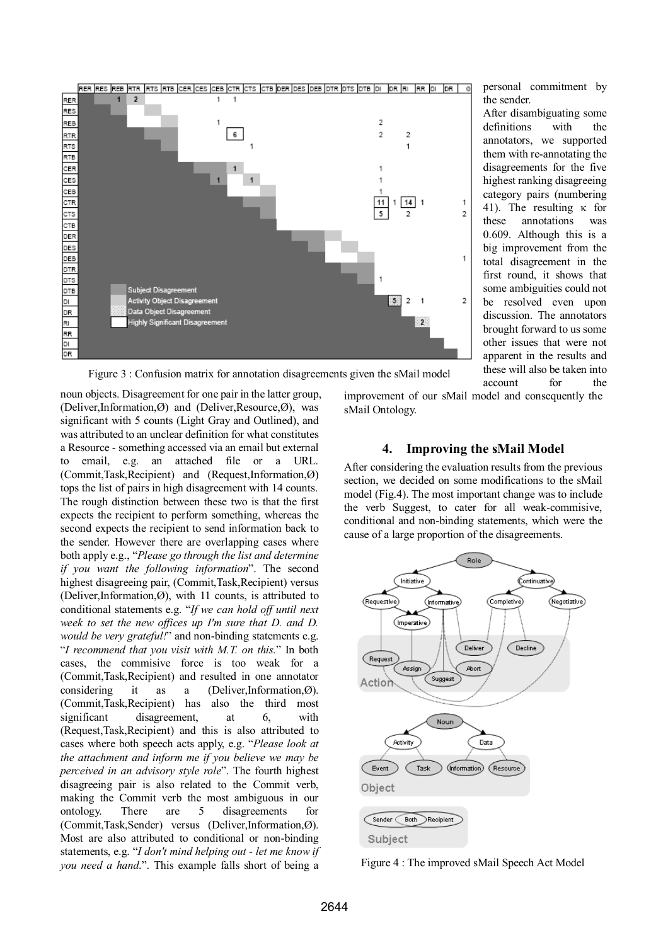

personal commitment by the sender.

After disambiguating some definitions with the annotators, we supported them with re-annotating the disagreements for the five highest ranking disagreeing category pairs (numbering 41). The resulting κ for these annotations was 0.609. Although this is a big improvement from the total disagreement in the first round, it shows that some ambiguities could not be resolved even upon discussion. The annotators brought forward to us some other issues that were not apparent in the results and these will also be taken into account for the

Figure 3 : Confusion matrix for annotation disagreements given the sMail model

noun objects. Disagreement for one pair in the latter group, (Deliver,Information, $\emptyset$ ) and (Deliver,Resource, $\emptyset$ ), was significant with 5 counts (Light Gray and Outlined), and was attributed to an unclear definition for what constitutes a Resource - something accessed via an email but external to email, e.g. an attached file or a URL.  $(Comment, Task, Recipient)$  and  $(Request, Information,Ø)$ tops the list of pairs in high disagreement with 14 counts. The rough distinction between these two is that the first expects the recipient to perform something, whereas the second expects the recipient to send information back to the sender. However there are overlapping cases where both apply e.g., "Please go through the list and determine *if you want the following information*î. The second highest disagreeing pair, (Commit,Task,Recipient) versus (Deliver,Information, $\varnothing$ ), with 11 counts, is attributed to conditional statements e.g. "If we can hold off until next *week to set the new offices up I'm sure that D. and D. would be very grateful!*" and non-binding statements e.g. ì*I recommend that you visit with M.T. on this.*î In both cases, the commisive force is too weak for a (Commit,Task,Recipient) and resulted in one annotator considering it as a (Deliver,Information, $\varnothing$ ). (Commit,Task,Recipient) has also the third most significant disagreement, at 6, with (Request,Task,Recipient) and this is also attributed to cases where both speech acts apply, e.g. "Please look at *the attachment and inform me if you believe we may be perceived in an advisory style role*î. The fourth highest disagreeing pair is also related to the Commit verb, making the Commit verb the most ambiguous in our ontology. There are 5 disagreements for  $(Comment, Task,Sender)$  versus  $(Deliver, Information, Ø)$ . Most are also attributed to conditional or non-binding statements, e.g. "I don't mind helping out - let me know if *you need a hand.*". This example falls short of being a

improvement of our sMail model and consequently the sMail Ontology.

## **4. Improving the sMail Model**

After considering the evaluation results from the previous section, we decided on some modifications to the sMail model (Fig.4). The most important change was to include the verb Suggest, to cater for all weak-commisive, conditional and non-binding statements, which were the cause of a large proportion of the disagreements.



Figure 4 : The improved sMail Speech Act Model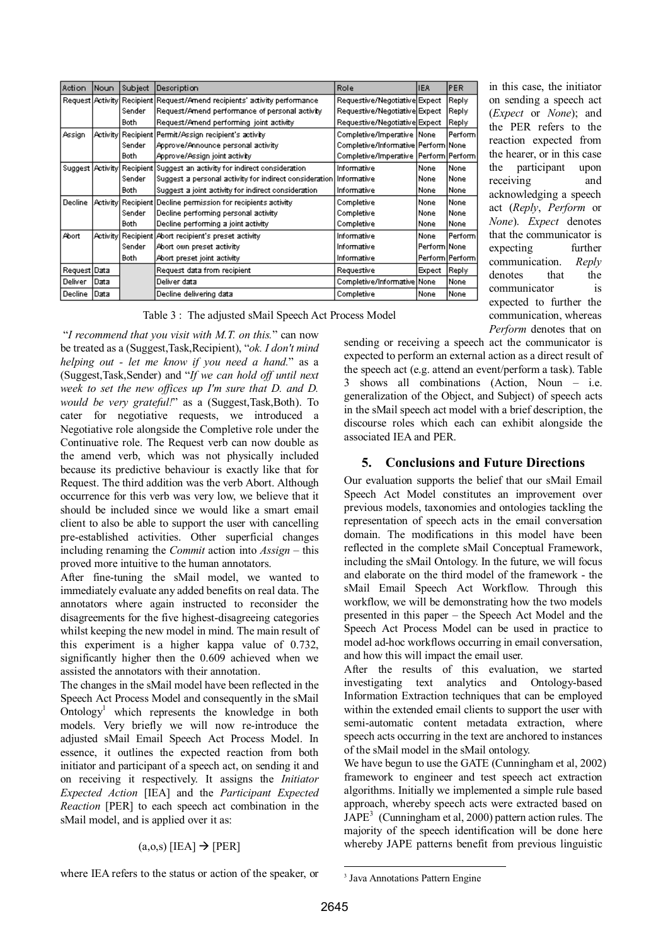| Action         | Noun | Subject     | Description                                                               | Role                                      | IEA.           | <b>PER</b>        |
|----------------|------|-------------|---------------------------------------------------------------------------|-------------------------------------------|----------------|-------------------|
|                |      |             | Request Activity Recipient Request/Amend recipients' activity performance | Requestive/Negotiative Expect             |                | Reply             |
|                |      | Sender      | Request/Amend performance of personal activity                            | Requestive/Negotiative Expect             |                | Reply             |
|                |      | <b>Both</b> | Request/Amend performing joint activity                                   | Requestive/Negotiative Expect             |                | Reply             |
| Assign         |      |             | Activity  Recipient   Permit/Assign_recipient's_activity_                 | Completive/Imperative None                |                | Perform           |
|                |      | Sender      | Approve/Announce personal activity                                        | Completive/Informative Perform None       |                |                   |
|                |      | Both.       | Approve/Assign joint activity                                             | Completive/Imperative   Perform   Perform |                |                   |
|                |      |             | Suggest Activity Recipient Suggest an activity for indirect consideration | Informative                               | None           | lNone.            |
|                |      | Sender      | Suggest a personal activity for indirect consideration Informative        |                                           | None           | lNone.            |
|                |      | Both.       | Suggest a joint activity for indirect consideration                       | Informative                               | None           | None              |
| Decline        |      |             | Activity  Recipient   Decline permission for recipients activity          | Completive                                | None           | None              |
|                |      | Sender      | Decline performing personal activity                                      | Completive                                | None           | lNone.            |
|                |      | Both.       | Decline performing a joint activity                                       | Completive                                | None           | lNone.            |
| Abort          |      |             | Activity Recipient Abort recipient's preset activity                      | Informative                               | None           | Perform           |
|                |      | Sender      | Abort own preset activity                                                 | Informative                               | Perform   None |                   |
|                |      | Both.       | Abort preset joint activity                                               | Informative                               |                | Perform   Perform |
| Request Data   |      |             | Request data from recipient                                               | Requestive                                | Expect         | Reply             |
| <b>Deliver</b> | Data |             | Deliver data                                                              | Completive/Informative   None             |                | None              |
| Decline Data   |      |             | Decline delivering data                                                   | Completive                                | None           | None              |

Table 3 : The adjusted sMail Speech Act Process Model

 ì*I recommend that you visit with M.T. on this.*î can now be treated as a (Suggest,Task,Recipient), "*ok. I don't mind helping out - let me know if you need a hand.*î as a (Suggest,Task,Sender) and ì*If we can hold off until next week to set the new offices up I'm sure that D. and D. would be very grateful!*" as a (Suggest,Task,Both). To cater for negotiative requests, we introduced a Negotiative role alongside the Completive role under the Continuative role. The Request verb can now double as the amend verb, which was not physically included because its predictive behaviour is exactly like that for Request. The third addition was the verb Abort. Although occurrence for this verb was very low, we believe that it should be included since we would like a smart email client to also be able to support the user with cancelling pre-established activities. Other superficial changes including renaming the *Commit* action into *Assign* – this proved more intuitive to the human annotators.

After fine-tuning the sMail model, we wanted to immediately evaluate any added benefits on real data. The annotators where again instructed to reconsider the disagreements for the five highest-disagreeing categories whilst keeping the new model in mind. The main result of this experiment is a higher kappa value of 0.732, significantly higher then the 0.609 achieved when we assisted the annotators with their annotation.

The changes in the sMail model have been reflected in the Speech Act Process Model and consequently in the sMail Ontology<sup>1</sup> which represents the knowledge in both models. Very briefly we will now re-introduce the adjusted sMail Email Speech Act Process Model. In essence, it outlines the expected reaction from both initiator and participant of a speech act, on sending it and on receiving it respectively. It assigns the *Initiator Expected Action* [IEA] and the *Participant Expected Reaction* [PER] to each speech act combination in the sMail model, and is applied over it as:

### $(a, 0, s)$  [IEA]  $\rightarrow$  [PER]

where IEA refers to the status or action of the speaker, or

on sending a speech act (*Expect* or *None*); and the PER refers to the reaction expected from the hearer, or in this case the participant upon receiving and acknowledging a speech act (*Reply*, *Perform* or *None*). *Expect* denotes that the communicator is expecting further communication. *Reply* denotes that the communicator is expected to further the communication, whereas *Perform* denotes that on

in this case, the initiator

sending or receiving a speech act the communicator is expected to perform an external action as a direct result of the speech act (e.g. attend an event/perform a task). Table  $3$  shows all combinations (Action, Noun – i.e. generalization of the Object, and Subject) of speech acts in the sMail speech act model with a brief description, the discourse roles which each can exhibit alongside the associated IEA and PER.

## **5. Conclusions and Future Directions**

Our evaluation supports the belief that our sMail Email Speech Act Model constitutes an improvement over previous models, taxonomies and ontologies tackling the representation of speech acts in the email conversation domain. The modifications in this model have been reflected in the complete sMail Conceptual Framework, including the sMail Ontology. In the future, we will focus and elaborate on the third model of the framework - the sMail Email Speech Act Workflow. Through this workflow, we will be demonstrating how the two models presented in this paper – the Speech Act Model and the Speech Act Process Model can be used in practice to model ad-hoc workflows occurring in email conversation, and how this will impact the email user.

After the results of this evaluation, we started investigating text analytics and Ontology-based Information Extraction techniques that can be employed within the extended email clients to support the user with semi-automatic content metadata extraction, where speech acts occurring in the text are anchored to instances of the sMail model in the sMail ontology.

We have begun to use the GATE (Cunningham et al, 2002) framework to engineer and test speech act extraction algorithms. Initially we implemented a simple rule based approach, whereby speech acts were extracted based on  $JAPE<sup>3</sup>$  (Cunningham et al, 2000) pattern action rules. The majority of the speech identification will be done here whereby JAPE patterns benefit from previous linguistic

l

<sup>&</sup>lt;sup>3</sup> Java Annotations Pattern Engine